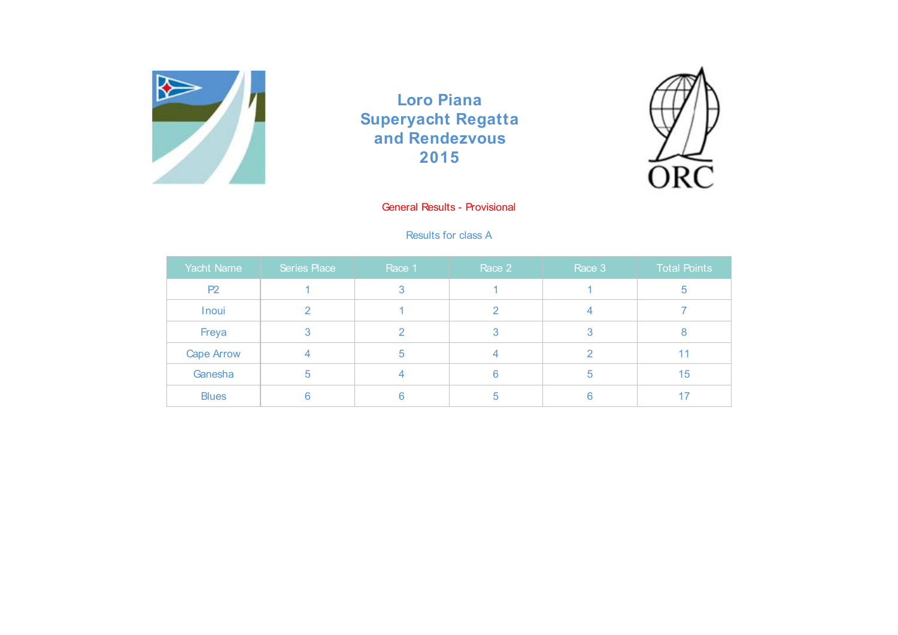



# General Results - Provisional

## Results for class A

| Yacht Name        | Series Place | Race 1 | Race 2 | Race 3 | <b>Total Points</b> |
|-------------------|--------------|--------|--------|--------|---------------------|
| P <sub>2</sub>    |              |        |        |        |                     |
| Inoui             |              |        |        |        |                     |
| Freya             |              |        |        | З      |                     |
| <b>Cape Arrow</b> |              | h      |        |        | 11                  |
| Ganesha           | b            |        |        | b      | 15                  |
| <b>Blues</b>      |              |        | b      | б      | 17                  |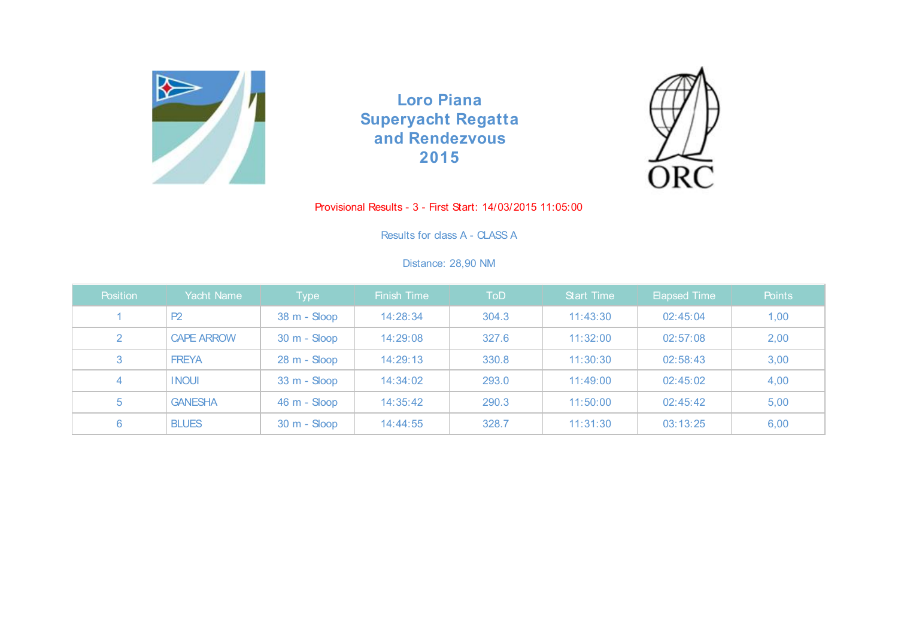



### Provisional Results - 3 - First Start: 14/03/2015 11:05:00

Results for class A - CLASS A

# Distance: 28,90 NM

| Position | Yacht Name        | Type           | <b>Finish Time</b> | <b>ToD</b> | <b>Start Time</b> | <b>Elapsed Time</b> | Points |
|----------|-------------------|----------------|--------------------|------------|-------------------|---------------------|--------|
|          | P2                | 38 m - Sloop   | 14:28:34           | 304.3      | 11:43:30          | 02:45:04            | 1,00   |
| 2        | <b>CAPE ARROW</b> | $30 m -$ Sloop | 14:29:08           | 327.6      | 11:32:00          | 02:57:08            | 2,00   |
| 3        | <b>FREYA</b>      | 28 m - Sloop   | 14:29:13           | 330.8      | 11:30:30          | 02:58:43            | 3,00   |
| 4        | <b>INOUI</b>      | $33 m - Sloop$ | 14:34:02           | 293.0      | 11:49:00          | 02:45:02            | 4,00   |
| 5        | <b>GANESHA</b>    | 46 m - Sloop   | 14:35:42           | 290.3      | 11:50:00          | 02:45:42            | 5,00   |
| 6        | <b>BLUES</b>      | 30 m - Sloop   | 14:44:55           | 328.7      | 11:31:30          | 03:13:25            | 6,00   |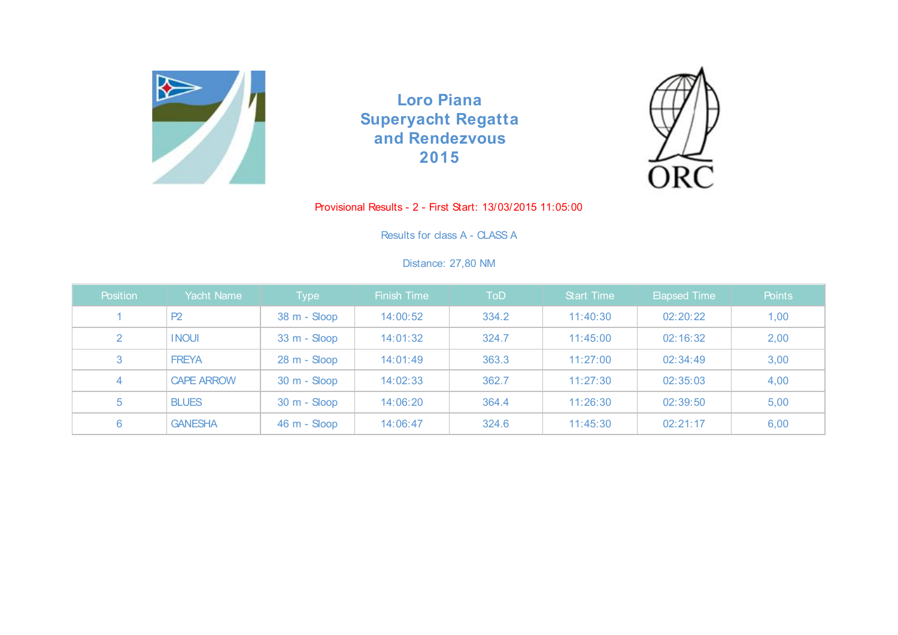



## Provisional Results - 2 - First Start: 13/03/2015 11:05:00

Results for class A - CLASS A

## Distance: 27,80 NM

| Position       | Yacht Name        | Type           | <b>Finish Time</b> | ToD   | <b>Start Time</b> | <b>Elapsed Time</b> | Points |
|----------------|-------------------|----------------|--------------------|-------|-------------------|---------------------|--------|
|                | P2                | 38 m - Sloop   | 14:00:52           | 334.2 | 11:40:30          | 02:20:22            | 1,00   |
| $\overline{2}$ | <b>INOUI</b>      | $33 m - Sloop$ | 14:01:32           | 324.7 | 11:45:00          | 02:16:32            | 2,00   |
| 3              | <b>FREYA</b>      | 28 m - Sloop   | 14:01:49           | 363.3 | 11:27:00          | 02:34:49            | 3,00   |
| 4              | <b>CAPE ARROW</b> | $30 m -$ Sloop | 14:02:33           | 362.7 | 11:27:30          | 02:35:03            | 4,00   |
| 5              | <b>BLUES</b>      | $30 m -$ Sloop | 14:06:20           | 364.4 | 11:26:30          | 02:39:50            | 5,00   |
| 6              | <b>GANESHA</b>    | 46 m - Sloop   | 14:06:47           | 324.6 | 11:45:30          | 02:21:17            | 6,00   |